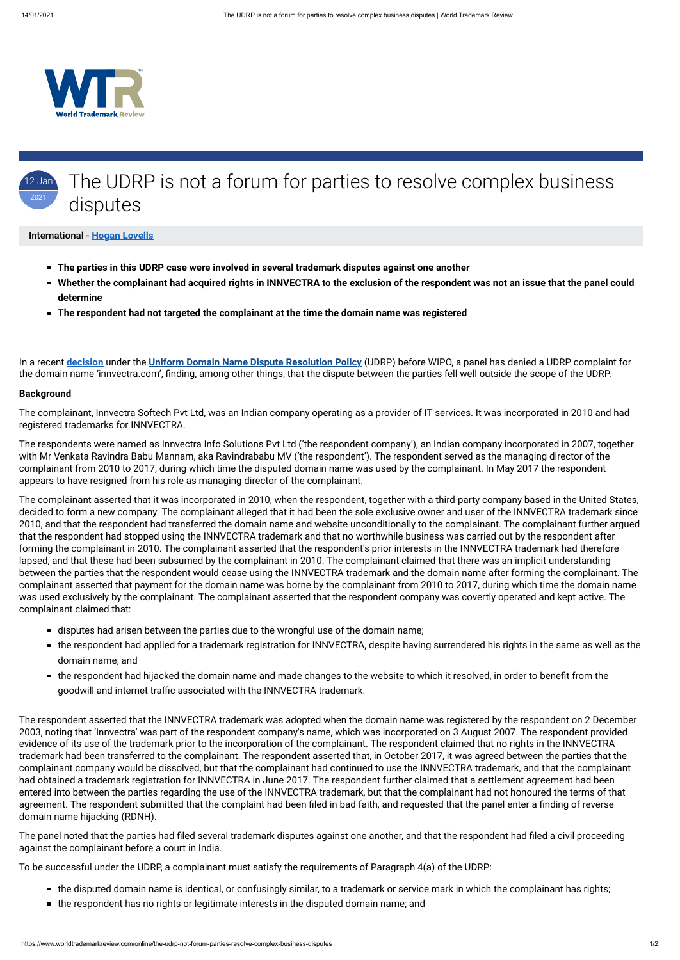

#### 12 Jan 2021 The UDRP is not a forum for parties to resolve complex business disputes

#### International - **[Hogan Lovells](https://www.worldtrademarkreview.com/Daily/Contributors#France)**

In a recent **[decision](https://www.wipo.int/amc/en/domains/decisions/text/2020/d2020-2480.html)** under the **[Uniform Domain Name Dispute Resolution Policy](https://www.icann.org/resources/pages/help/dndr/udrp-en)** (UDRP) before WIPO, a panel has denied a UDRP complaint for the domain name 'innvectra.com', finding, among other things, that the dispute between the parties fell well outside the scope of the UDRP.

- **The parties in this UDRP case were involved in several trademark disputes against one another**
- **Whether the complainant had acquired rights in INNVECTRA to the exclusion of the respondent was not an issue that the panel could determine**
- **The respondent had not targeted the complainant at the time the domain name was registered**

#### **Background**

The complainant, Innvectra Softech Pvt Ltd, was an Indian company operating as a provider of IT services. It was incorporated in 2010 and had registered trademarks for INNVECTRA.

The respondents were named as Innvectra Info Solutions Pvt Ltd ('the respondent company'), an Indian company incorporated in 2007, together with Mr Venkata Ravindra Babu Mannam, aka Ravindrababu MV ('the respondent'). The respondent served as the managing director of the complainant from 2010 to 2017, during which time the disputed domain name was used by the complainant. In May 2017 the respondent appears to have resigned from his role as managing director of the complainant.

- disputes had arisen between the parties due to the wrongful use of the domain name;
- the respondent had applied for a trademark registration for INNVECTRA, despite having surrendered his rights in the same as well as the domain name; and
- the respondent had hijacked the domain name and made changes to the website to which it resolved, in order to benefit from the goodwill and internet traffic associated with the INNVECTRA trademark.

The complainant asserted that it was incorporated in 2010, when the respondent, together with a third-party company based in the United States, decided to form a new company. The complainant alleged that it had been the sole exclusive owner and user of the INNVECTRA trademark since 2010, and that the respondent had transferred the domain name and website unconditionally to the complainant. The complainant further argued that the respondent had stopped using the INNVECTRA trademark and that no worthwhile business was carried out by the respondent after forming the complainant in 2010. The complainant asserted that the respondent's prior interests in the INNVECTRA trademark had therefore lapsed, and that these had been subsumed by the complainant in 2010. The complainant claimed that there was an implicit understanding between the parties that the respondent would cease using the INNVECTRA trademark and the domain name after forming the complainant. The complainant asserted that payment for the domain name was borne by the complainant from 2010 to 2017, during which time the domain name was used exclusively by the complainant. The complainant asserted that the respondent company was covertly operated and kept active. The complainant claimed that:

The panel noted that the parties had filed several trademark disputes against one another, and that the respondent had filed a civil proceeding against the complainant before a court in India.

- the disputed domain name is identical, or confusingly similar, to a trademark or service mark in which the complainant has rights;
- the respondent has no rights or legitimate interests in the disputed domain name; and

The respondent asserted that the INNVECTRA trademark was adopted when the domain name was registered by the respondent on 2 December

2003, noting that 'Innvectra' was part of the respondent company's name, which was incorporated on 3 August 2007. The respondent provided evidence of its use of the trademark prior to the incorporation of the complainant. The respondent claimed that no rights in the INNVECTRA trademark had been transferred to the complainant. The respondent asserted that, in October 2017, it was agreed between the parties that the complainant company would be dissolved, but that the complainant had continued to use the INNVECTRA trademark, and that the complainant had obtained a trademark registration for INNVECTRA in June 2017. The respondent further claimed that a settlement agreement had been entered into between the parties regarding the use of the INNVECTRA trademark, but that the complainant had not honoured the terms of that agreement. The respondent submitted that the complaint had been filed in bad faith, and requested that the panel enter a finding of reverse domain name hijacking (RDNH).

To be successful under the UDRP, a complainant must satisfy the requirements of Paragraph 4(a) of the UDRP: